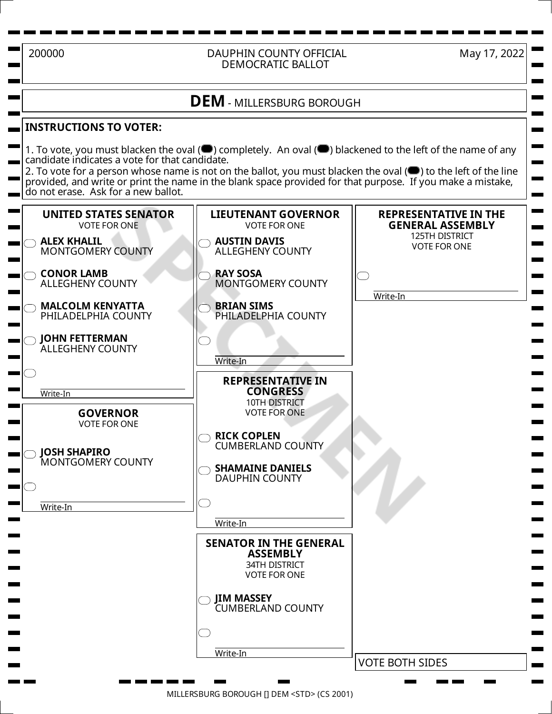## 200000 DAUPHIN COUNTY OFFICIAL DEMOCRATIC BALLOT

May 17, 2022

## **DEM** - MILLERSBURG BOROUGH

## **INSTRUCTIONS TO VOTER:**

1. To vote, you must blacken the oval (●) completely. An oval (●) blackened to the left of the name of any candidate indicates a vote for that candidate.

2. To vote for a person whose name is not on the ballot, you must blacken the oval ( $\blacksquare$ ) to the left of the line provided, and write or print the name in the blank space provided for that purpose. If you make a mistake, do not erase. Ask for a new ballot.

| <b>UNITED STATES SENATOR</b><br><b>VOTE FOR ONE</b>                         | <b>LIEUTENANT GOVERNOR</b><br><b>VOTE FOR ONE</b>                                                              | <b>REPRESENTATIVE IN THE</b><br><b>GENERAL ASSEMBLY</b> |
|-----------------------------------------------------------------------------|----------------------------------------------------------------------------------------------------------------|---------------------------------------------------------|
| <b>ALEX KHALIL</b><br><b>MONTGOMERY COUNTY</b>                              | <b>AUSTIN DAVIS</b><br><b>ALLEGHENY COUNTY</b>                                                                 | 125TH DISTRICT<br><b>VOTE FOR ONE</b>                   |
| <b>CONOR LAMB</b><br><b>ALLEGHENY COUNTY</b>                                | <b>RAY SOSA</b><br><b>MONTGOMERY COUNTY</b>                                                                    |                                                         |
| <b>MALCOLM KENYATTA</b><br>PHILADELPHIA COUNTY                              | <b>BRIAN SIMS</b><br>PHILADELPHIA COUNTY                                                                       | Write-In                                                |
| <b>JOHN FETTERMAN</b><br>ALLEGHENY COUNTY                                   |                                                                                                                |                                                         |
| Write-In<br><b>GOVERNOR</b>                                                 | Write-In<br><b>REPRESENTATIVE IN</b><br><b>CONGRESS</b><br>10TH DISTRICT<br><b>VOTE FOR ONE</b>                |                                                         |
| <b>VOTE FOR ONE</b><br><b>JOSH SHAPIRO</b><br>MONTGOMERY COUNTY<br>Write-In | <b>RICK COPLEN</b><br><b>CUMBERLAND COUNTY</b><br><b>SHAMAINE DANIELS</b><br><b>DAUPHIN COUNTY</b><br>Write-In |                                                         |
|                                                                             | <b>SENATOR IN THE GENERAL</b><br><b>ASSEMBLY</b><br>34TH DISTRICT<br><b>VOTE FOR ONE</b>                       |                                                         |
|                                                                             | <b>JIM MASSEY</b><br><b>CUMBERLAND COUNTY</b>                                                                  |                                                         |
|                                                                             | Write-In                                                                                                       | <b>VOTE BOTH SIDES</b>                                  |